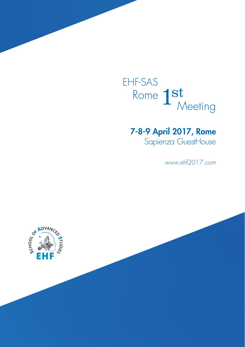EHF-SAS Rome  $1st$ <br>Meeting

# 7-8-9 April 2017, Rome

Sapienza GuestHouse

www.ehf2017.com

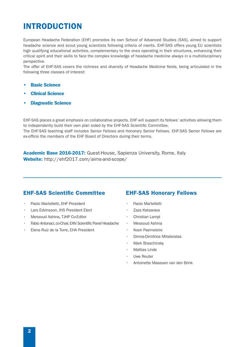# INTRODUCTION

European Headache Federation (EHF) promotes its own School of Advanced Studies (SAS), aimed to support headache science and scout young scientists following criteria of merits. EHF-SAS offers young EU scientists high qualifying educational activities, complementary to the ones operating in their structures, enhancing their critical spirit and their skills to face the complex knowledge of headache medicine always in a multidisciplinary perspective.

The offer of EHF-SAS covers the richness and diversity of Headache Medicine fields, being articulated in the following three classes of interest:

- Basic Science
- Clinical Science
- Diagnostic Science

EHF-SAS places a great emphasis on collaborative projects. EHF will support its fellows' activities allowing them to independently build their own plan sided by the EHF-SAS Scientific Committee. The EHF-SAS teaching staff includes Senior Fellows and Honorary Senior Fellows. EHF-SAS Senior Fellows are ex-officio the members of the EHF Board of Directors during their terms.

Academic Base 2016-2017: Guest-House, Sapienza University, Rome, Italy Website: http://ehf2017.com/aims-and-scope/

### EHF-SAS Scientific Committee

- Paolo Martelletti, EHF President
- Lars Edvinsson, IHS President Elect
- Messoud Ashina, TJHP Co-Editor
- Fabio Antonaci, co-Chair, EAN Scientific Panel Headache
- Elena Ruiz de la Torre, EHA President

### EHF-SAS Honorary Fellows

- Paolo Martelletti
- Zaza Katsarava
- Christian Lampl
- Messoud Ashina
- Koen Paemeleire
- Dimos-Dimitrios Mitsikostas
- Mark Braschinsky
- **Mattias Linde**
- Uwe Reuter
- Antoinette Maassen van den Brink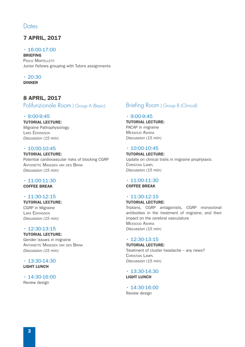## **Dates**

# 7 APRIL, 2017

• 16:00-17:00

BRIEFING PAOLO MARTELLETTI Junior Fellows grouping with Tutors assignments

 $\cdot$  20:30 DINNER

# 8 APRIL, 2017

Polifunzionale Room | Group A (Basic)

#### $\cdot$  9:00-9:45

TUTORIAL LECTURE: Migraine Pathophysiology Lars Edvinsson *Discussion (15 min)*

#### $\cdot$  10:00-10:45

TUTORIAL LECTURE: Potential cardiovascular risks of blocking CGRP Antoinette Maassen van den Brink *Discussion (15 min)*

# $\cdot$  11:00-11:30

COFFEE BREAK

#### $\cdot$  11:30-12:15

TUTORIAL LECTURE: CGRP in Migraine Lars Edvinsson *Discussion (15 min)*

#### $\cdot$  12:30-13:15 TUTORIAL LECTURE:

Gender issues in migraine Antoinette Maassen van den Brink *Discussion (15 min)*

 $\cdot$  13:30-14:30 LIGHT LUNCH

### $\cdot$  14:30-16:00

Review design

# Briefing Room | Group B (Clinical)

#### $\cdot$  9:00-9:45

## TUTORIAL LECTURE:

PACAP in migraine Messoud Ashina *Discussion (15 min)*

#### $\cdot$  10:00-10:45

#### TUTORIAL LECTURE:

Update on clinical trails in migraine prophylaxis CHRISTIAN LAMPL *Discussion (15 min)*

# $\cdot$  11:00-11:30

COFFEE BREAK

### $\cdot$  11:30-12:15

TUTORIAL LECTURE: Triptans, CGRP antagonists, CGRP monoclonal antibodies in the treatment of migraine, and their impact on the cerebral vasculature Messoud Ashina *Discussion (15 min)*

#### $\cdot$  12:30-13:15

#### TUTORIAL LECTURE:

Treatment of cluster headache – any news? CHRISTIAN LAMPL *Discussion (15 min)*

 $\cdot$  13:30-14:30 LIGHT LUNCH

#### $\cdot$  14:30-16:00 Review design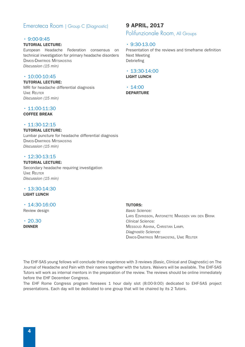## Emeroteca Room | Group C (Diagnostic)

#### $\cdot$  9:00-9:45

#### TUTORIAL LECTURE:

European Headache Federation consensus on technical investigation for primary headache disorders Dimos-Dimitrios Mitsikostas *Discussion (15 min)*

#### $\cdot$  10:00-10:45

TUTORIAL LECTURE: MRI for headache differential diagnosis Uwe Reuter *Discussion (15 min)*

#### $\cdot$  11:00-11:30

#### COFFEE BREAK

#### $\cdot$  11:30-12:15

#### TUTORIAL LECTURE:

Lumbar puncture for headache differential diagnosis Dimos-Dimitrios Mitsikostas *Discussion (15 min)*

#### $\cdot$  12:30-13:15

#### TUTORIAL LECTURE:

Secondary headache requiring investigation Uwe Reuter *Discussion (15 min)*

#### $\cdot$  13:30-14:30 LIGHT LUNCH

# $\cdot$  14:30-16:00

Review design

 $\cdot$  20.30 DINNER

### 9 APRIL, 2017

Polifunzionale Room, All Groups

#### $\cdot$  9:30-13.00

Presentation of the reviews and timeframe definition Next Meeting Debriefing

#### $\cdot$  13:30-14:00 LIGHT LUNCH

 $\cdot$  14:00 DEPARTURE

#### TUTORS:

*Basic Science:*  Lars Edvinsson, Antoinette Maassen van den Brink *Clinical Science:*  Messoud Ashina, Christian Lampl *Diagnostic Science:*  Dimos-Dimitrios Mitsikostas, Uwe Reuter

The EHF-SAS young fellows will conclude their experience with 3 reviews (Basic, Clinical and Diagnostic) on The Journal of Headache and Pain with their names together with the tutors. Waivers will be available. The EHF-SAS Tutors will work as internal mentors in the preparation of the review. The reviews should be online immediately before the EHF December Congress.

The EHF Rome Congress program foresees 1 hour daily slot (8:00-9:00) dedicated to EHF-SAS project presentations. Each day will be dedicated to one group that will be chaired by its 2 Tutors.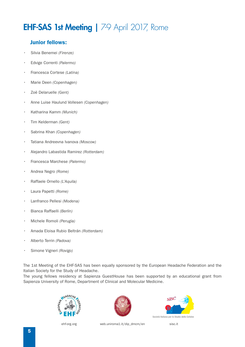# EHF-SAS 1st Meeting | 7-9 April 2017, Rome

## Junior fellows:

- Silvia Benemei *(Firenze)*
- Edvige Correnti *(Palermo)*
- Francesca Cortese *(Latina)*
- Marie Deen *(Copenhagen)*
- Zoë Delaruelle *(Gent)*
- Anne Luise Haulund Vollesen *(Copenhagen)*
- Katharina Kamm *(Munich)*
- Tim Kelderman *(Gent)*
- Sabrina Khan *(Copenhagen)*
- Tatiana Andreevna Ivanova *(Moscow)*
- Alejandro Labastida Ramirez *(Rotterdam)*
- Francesca Marchese *(Palermo)*
- Andrea Negro *(Rome)*
- Raffaele Ornello *(L'Aquila)*
- Laura Papetti *(Rome)*
- Lanfranco Pellesi *(Modena)*
- Bianca Raffaelli *(Berlin)*
- Michele Romoli *(Perugia)*
- Amada Eloisa Rubio Beltrán *(Rotterdam)*
- Alberto Terrin *(Padova)*
- Simone Vigneri *(Rovigo)*

The 1st Meeting of the EHF-SAS has been equally sponsored by the European Headache Federation and the Italian Society for the Study of Headache.

The young fellows residency at Sapienza GuestHouse has been supported by an educational grant from Sapienza University of Rome, Department of Clinical and Molecular Medicine.







ehf-org.org web.uni[roma1.it/dip\\_dm](https://web.uniroma1.it/dip_dmcm/en)cm/en sisc.it